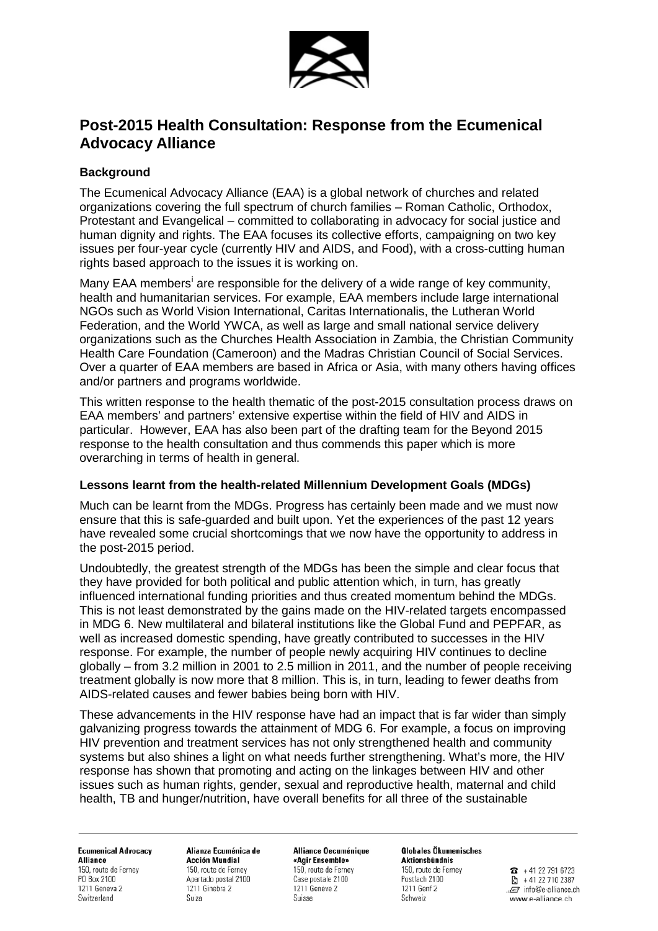

# **Post-2015 Health Consultation: Response from the Ecumenical Advocacy Alliance**

# **Background**

The Ecumenical Advocacy Alliance (EAA) is a global network of churches and related organizations covering the full spectrum of church families – Roman Catholic, Orthodox, Protestant and Evangelical – committed to collaborating in advocacy for social justice and human dignity and rights. The EAA focuses its collective efforts, campaigning on two key issues per four-year cycle (currently HIV and AIDS, and Food), with a cross-cutting human rights based approach to the issues it is working on.

Many EAA members<sup>[i](#page-2-0)</sup> are responsible for the delivery of a wide range of key community, health and humanitarian services. For example, EAA members include large international NGOs such as World Vision International, Caritas Internationalis, the Lutheran World Federation, and the World YWCA, as well as large and small national service delivery organizations such as the Churches Health Association in Zambia, the Christian Community Health Care Foundation (Cameroon) and the Madras Christian Council of Social Services. Over a quarter of EAA members are based in Africa or Asia, with many others having offices and/or partners and programs worldwide.

This written response to the health thematic of the post-2015 consultation process draws on EAA members' and partners' extensive expertise within the field of HIV and AIDS in particular. However, EAA has also been part of the drafting team for the Beyond 2015 response to the health consultation and thus commends this paper which is more overarching in terms of health in general.

#### **Lessons learnt from the health-related Millennium Development Goals (MDGs)**

Much can be learnt from the MDGs. Progress has certainly been made and we must now ensure that this is safe-guarded and built upon. Yet the experiences of the past 12 years have revealed some crucial shortcomings that we now have the opportunity to address in the post-2015 period.

Undoubtedly, the greatest strength of the MDGs has been the simple and clear focus that they have provided for both political and public attention which, in turn, has greatly influenced international funding priorities and thus created momentum behind the MDGs. This is not least demonstrated by the gains made on the HIV-related targets encompassed in MDG 6. New multilateral and bilateral institutions like the Global Fund and PEPFAR, as well as increased domestic spending, have greatly contributed to successes in the HIV response. For example, the number of people newly acquiring HIV continues to decline globally – from 3.2 million in 2001 to 2.5 million in 2011, and the number of people receiving treatment globally is now more that 8 million. This is, in turn, leading to fewer deaths from AIDS-related causes and fewer babies being born with HIV.

These advancements in the HIV response have had an impact that is far wider than simply galvanizing progress towards the attainment of MDG 6. For example, a focus on improving HIV prevention and treatment services has not only strengthened health and community systems but also shines a light on what needs further strengthening. What's more, the HIV response has shown that promoting and acting on the linkages between HIV and other issues such as human rights, gender, sexual and reproductive health, maternal and child health, TB and hunger/nutrition, have overall benefits for all three of the sustainable

**Ecumenical Advocacy Alliance** 150, route de Ferney PO Box 2100 1211 Geneva 2 Switzerland

Alianza Ecuménica de **Acción Mundial** 150, route de Ferney Apartado postal 2100 1211 Ginebra 2 Suiza

Alliance Oecuménique «Agir Ensemble» 150, route de Ferney Case postale 2100 1211 Genève 2 Suisse

**Globales Ökumenisches** Aktionsbündnis 150, route de Ferney Postfach 2100 1211 Genf 2 Schweiz

 $\bullet$  +41 22 791 6723 টো +41 22 710 2387 .. info@e-alliance.ch www.e-alliance.ch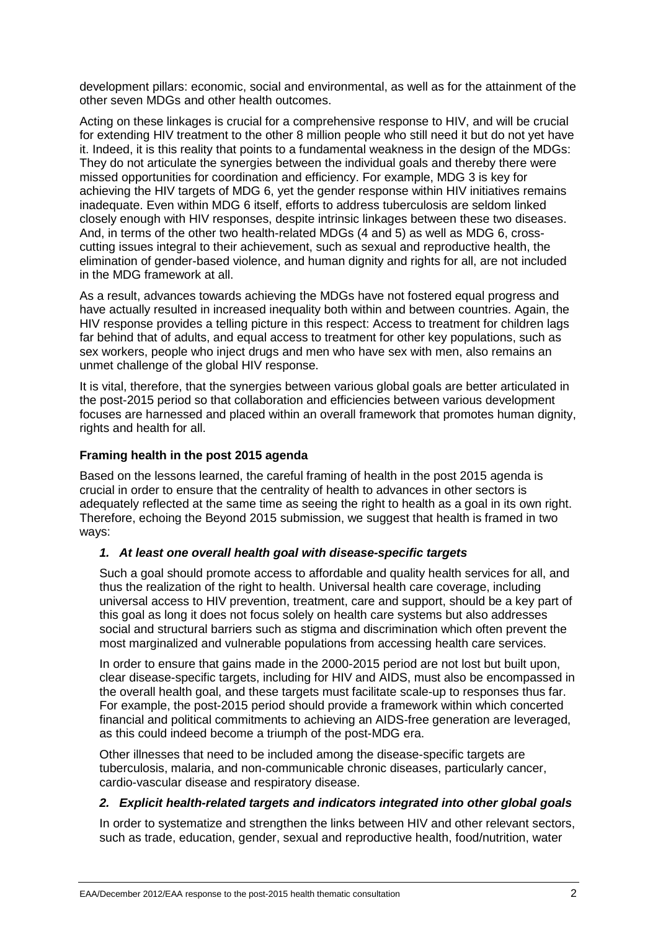development pillars: economic, social and environmental, as well as for the attainment of the other seven MDGs and other health outcomes.

Acting on these linkages is crucial for a comprehensive response to HIV, and will be crucial for extending HIV treatment to the other 8 million people who still need it but do not yet have it. Indeed, it is this reality that points to a fundamental weakness in the design of the MDGs: They do not articulate the synergies between the individual goals and thereby there were missed opportunities for coordination and efficiency. For example, MDG 3 is key for achieving the HIV targets of MDG 6, yet the gender response within HIV initiatives remains inadequate. Even within MDG 6 itself, efforts to address tuberculosis are seldom linked closely enough with HIV responses, despite intrinsic linkages between these two diseases. And, in terms of the other two health-related MDGs (4 and 5) as well as MDG 6, crosscutting issues integral to their achievement, such as sexual and reproductive health, the elimination of gender-based violence, and human dignity and rights for all, are not included in the MDG framework at all.

As a result, advances towards achieving the MDGs have not fostered equal progress and have actually resulted in increased inequality both within and between countries. Again, the HIV response provides a telling picture in this respect: Access to treatment for children lags far behind that of adults, and equal access to treatment for other key populations, such as sex workers, people who inject drugs and men who have sex with men, also remains an unmet challenge of the global HIV response.

It is vital, therefore, that the synergies between various global goals are better articulated in the post-2015 period so that collaboration and efficiencies between various development focuses are harnessed and placed within an overall framework that promotes human dignity, rights and health for all.

## **Framing health in the post 2015 agenda**

Based on the lessons learned, the careful framing of health in the post 2015 agenda is crucial in order to ensure that the centrality of health to advances in other sectors is adequately reflected at the same time as seeing the right to health as a goal in its own right. Therefore, echoing the Beyond 2015 submission, we suggest that health is framed in two ways:

### *1. At least one overall health goal with disease-specific targets*

Such a goal should promote access to affordable and quality health services for all, and thus the realization of the right to health. Universal health care coverage, including universal access to HIV prevention, treatment, care and support, should be a key part of this goal as long it does not focus solely on health care systems but also addresses social and structural barriers such as stigma and discrimination which often prevent the most marginalized and vulnerable populations from accessing health care services.

In order to ensure that gains made in the 2000-2015 period are not lost but built upon, clear disease-specific targets, including for HIV and AIDS, must also be encompassed in the overall health goal, and these targets must facilitate scale-up to responses thus far. For example, the post-2015 period should provide a framework within which concerted financial and political commitments to achieving an AIDS-free generation are leveraged, as this could indeed become a triumph of the post-MDG era.

Other illnesses that need to be included among the disease-specific targets are tuberculosis, malaria, and non-communicable chronic diseases, particularly cancer, cardio-vascular disease and respiratory disease.

### *2. Explicit health-related targets and indicators integrated into other global goals*

In order to systematize and strengthen the links between HIV and other relevant sectors, such as trade, education, gender, sexual and reproductive health, food/nutrition, water